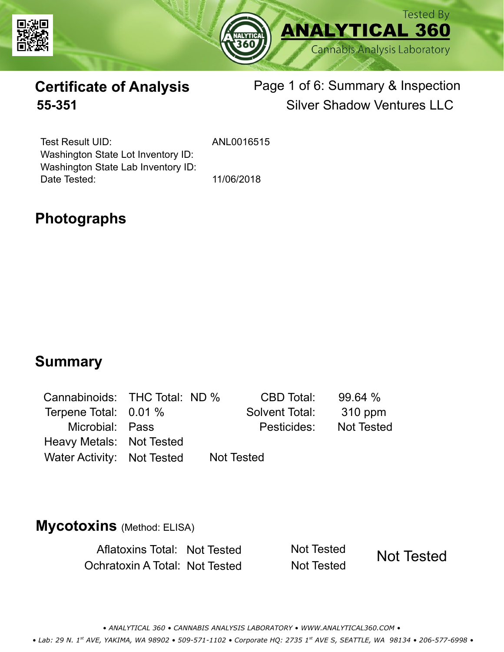



## **Certificate of Analysis** Page 1 of 6: Summary & Inspection **55-351** Silver Shadow Ventures LLC

Test Result UID: Washington State Lot Inventory ID: Date Tested: 11/06/2018 Washington State Lab Inventory ID:

ANL0016515

## **Photographs**

### **Summary**

| Cannabinoids: THC Total: ND % |  | CBD Total:        | 99.64%            |
|-------------------------------|--|-------------------|-------------------|
| Terpene Total: 0.01 %         |  | Solvent Total:    | 310 ppm           |
| Microbial: Pass               |  | Pesticides:       | <b>Not Tested</b> |
| Heavy Metals: Not Tested      |  |                   |                   |
| Water Activity: Not Tested    |  | <b>Not Tested</b> |                   |

### **Mycotoxins** (Method: ELISA)

Aflatoxins Total: Not Tested Not Tested Ochratoxin A Total: Not Tested Not Tested

Not Tested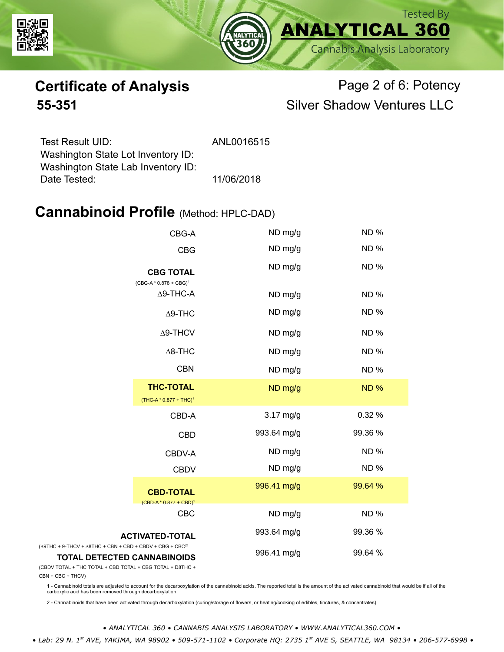



# **Certificate of Analysis** Page 2 of 6: Potency **55-351** Silver Shadow Ventures LLC

| ANL0016515 |
|------------|
|            |
|            |
| 11/06/2018 |
|            |

### **Cannabinoid Profile** (Method: HPLC-DAD)

| CBG-A                                                                                                                      | ND mg/g     | <b>ND%</b> |
|----------------------------------------------------------------------------------------------------------------------------|-------------|------------|
| <b>CBG</b>                                                                                                                 | ND mg/g     | <b>ND%</b> |
| <b>CBG TOTAL</b><br>(CBG-A * 0.878 + CBG) <sup>1</sup>                                                                     | ND mg/g     | <b>ND%</b> |
| $\Delta$ 9-THC-A                                                                                                           | ND mg/g     | <b>ND%</b> |
| $\Delta$ 9-THC                                                                                                             | ND mg/g     | <b>ND%</b> |
| $\Delta$ 9-THCV                                                                                                            | ND mg/g     | <b>ND%</b> |
| $\Delta$ 8-THC                                                                                                             | ND mg/g     | <b>ND%</b> |
| <b>CBN</b>                                                                                                                 | ND mg/g     | <b>ND%</b> |
| <b>THC-TOTAL</b><br>$(THC-A * 0.877 + THC)^1$                                                                              | ND mg/g     | <b>ND%</b> |
| CBD-A                                                                                                                      | $3.17$ mg/g | 0.32 %     |
| <b>CBD</b>                                                                                                                 | 993.64 mg/g | 99.36 %    |
| CBDV-A                                                                                                                     | ND mg/g     | <b>ND%</b> |
| <b>CBDV</b>                                                                                                                | ND mg/g     | <b>ND%</b> |
| <b>CBD-TOTAL</b><br>$(CBD-A * 0.877 + CBD)^1$                                                                              | 996.41 mg/g | 99.64 %    |
| <b>CBC</b>                                                                                                                 | ND mg/g     | <b>ND%</b> |
| <b>ACTIVATED-TOTAL</b>                                                                                                     | 993.64 mg/g | 99.36 %    |
| $(\Delta$ 9THC + 9-THCV + $\Delta$ 8THC + CBN + CBD + CBDV + CBG + CBC <sup>22</sup><br><b>TOTAL DETECTED CANNABINOIDS</b> | 996.41 mg/g | 99.64 %    |

(CBDV TOTAL + THC TOTAL + CBD TOTAL + CBG TOTAL + D8THC +

CBN + CBC + THCV)

1 - Cannabinoid totals are adjusted to account for the decarboxylation of the cannabinoid acids. The reported total is the amount of the activated cannabinoid that would be if all of the<br>carboxylic acid has been removed th

2 - Cannabinoids that have been activated through decarboxylation (curing/storage of flowers, or heating/cooking of edibles, tinctures, & concentrates)

*• ANALYTICAL 360 • CANNABIS ANALYSIS LABORATORY • WWW.ANALYTICAL360.COM •*

 *• Lab: 29 N. 1st AVE, YAKIMA, WA 98902 • 509-571-1102 • Corporate HQ: 2735 1st AVE S, SEATTLE, WA 98134 • 206-577-6998 •*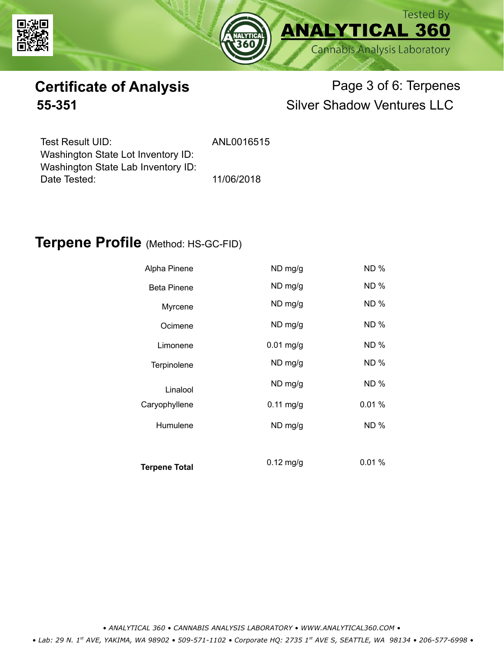



# **Certificate of Analysis** Page 3 of 6: Terpenes **55-351** Silver Shadow Ventures LLC

| Test Result UID:                   | ANL0016515 |
|------------------------------------|------------|
| Washington State Lot Inventory ID: |            |
| Washington State Lab Inventory ID: |            |
| Date Tested:                       | 11/06/2018 |

### **Terpene Profile** (Method: HS-GC-FID)

| Alpha Pinene         | ND mg/g             | ND %        |
|----------------------|---------------------|-------------|
| <b>Beta Pinene</b>   | ND mg/g             | <b>ND %</b> |
| Myrcene              | ND mg/g             | <b>ND%</b>  |
| Ocimene              | ND mg/g             | ND %        |
| Limonene             | $0.01$ mg/g         | <b>ND %</b> |
| Terpinolene          | ND mg/g             | <b>ND%</b>  |
| Linalool             | ND mg/g             | <b>ND %</b> |
| Caryophyllene        | $0.11$ mg/g         | 0.01%       |
| Humulene             | ND mg/g             | ND %        |
|                      |                     |             |
| <b>Terpene Total</b> | $0.12 \text{ mg/g}$ | 0.01%       |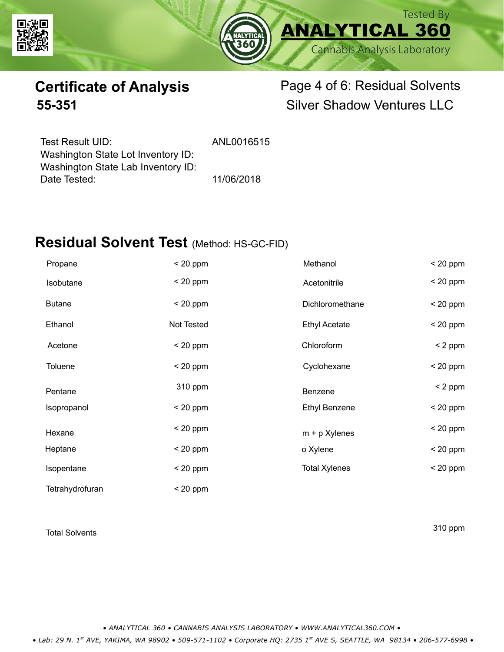



# **Certificate of Analysis** Page 4 of 6: Residual Solvents **55-351** Silver Shadow Ventures LLC

| Test Result UID:                   | ANL0016515 |
|------------------------------------|------------|
| Washington State Lot Inventory ID: |            |
| Washington State Lab Inventory ID: |            |
| Date Tested:                       | 11/06/2018 |

Date Tested: 11/06/2018

### **Residual Solvent Test** (Method: HS-GC-FID)

| Propane         | $< 20$ ppm | Methanol             | $< 20$ ppm |
|-----------------|------------|----------------------|------------|
| Isobutane       | $< 20$ ppm | Acetonitrile         | $< 20$ ppm |
| <b>Butane</b>   | $< 20$ ppm | Dichloromethane      | $< 20$ ppm |
| Ethanol         | Not Tested | <b>Ethyl Acetate</b> | $< 20$ ppm |
| Acetone         | $< 20$ ppm | Chloroform           | $< 2$ ppm  |
| Toluene         | $< 20$ ppm | Cyclohexane          | $< 20$ ppm |
| Pentane         | 310 ppm    | Benzene              | $< 2$ ppm  |
| Isopropanol     | $< 20$ ppm | <b>Ethyl Benzene</b> | $< 20$ ppm |
| Hexane          | $< 20$ ppm | $m + p$ Xylenes      | $< 20$ ppm |
| Heptane         | $< 20$ ppm | o Xylene             | $< 20$ ppm |
| Isopentane      | $< 20$ ppm | <b>Total Xylenes</b> | $< 20$ ppm |
| Tetrahydrofuran | $<$ 20 ppm |                      |            |

Total Solvents 310 ppm

*• ANALYTICAL 360 • CANNABIS ANALYSIS LABORATORY • WWW.ANALYTICAL360.COM •*

 *• Lab: 29 N. 1st AVE, YAKIMA, WA 98902 • 509-571-1102 • Corporate HQ: 2735 1st AVE S, SEATTLE, WA 98134 • 206-577-6998 •*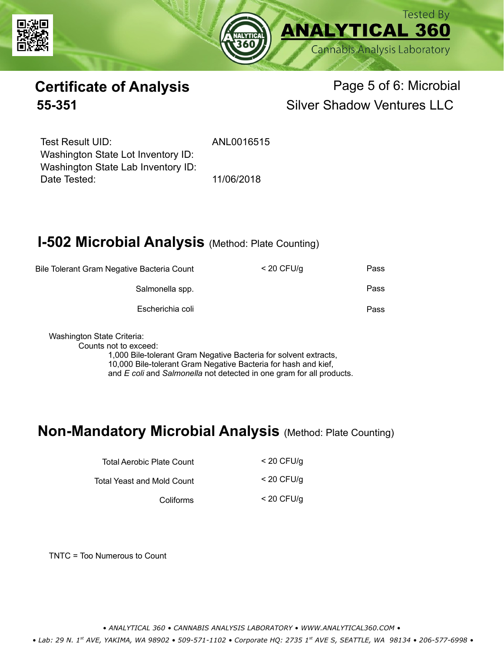



## **Certificate of Analysis** Page 5 of 6: Microbial **55-351** Silver Shadow Ventures LLC

Test Result UID: ANI 0016515 Date Tested: 11/06/2018 Washington State Lot Inventory ID: Washington State Lab Inventory ID:

## **I-502 Microbial Analysis (Method: Plate Counting)**

| Bile Tolerant Gram Negative Bacteria Count |                  | $<$ 20 CFU/g | Pass |
|--------------------------------------------|------------------|--------------|------|
| Salmonella spp.                            |                  |              | Pass |
|                                            | Escherichia coli |              | Pass |
|                                            |                  |              |      |

Washington State Criteria:

Counts not to exceed:

1,000 Bile-tolerant Gram Negative Bacteria for solvent extracts, 10,000 Bile-tolerant Gram Negative Bacteria for hash and kief, and *E coli* and *Salmonella* not detected in one gram for all products.

### **Non-Mandatory Microbial Analysis** (Method: Plate Counting)

| Total Aerobic Plate Count  | $<$ 20 CFU/g |
|----------------------------|--------------|
| Total Yeast and Mold Count | $<$ 20 CFU/a |
| Coliforms                  | $<$ 20 CFU/g |

TNTC = Too Numerous to Count

*• ANALYTICAL 360 • CANNABIS ANALYSIS LABORATORY • WWW.ANALYTICAL360.COM •*

 *• Lab: 29 N. 1st AVE, YAKIMA, WA 98902 • 509-571-1102 • Corporate HQ: 2735 1st AVE S, SEATTLE, WA 98134 • 206-577-6998 •*